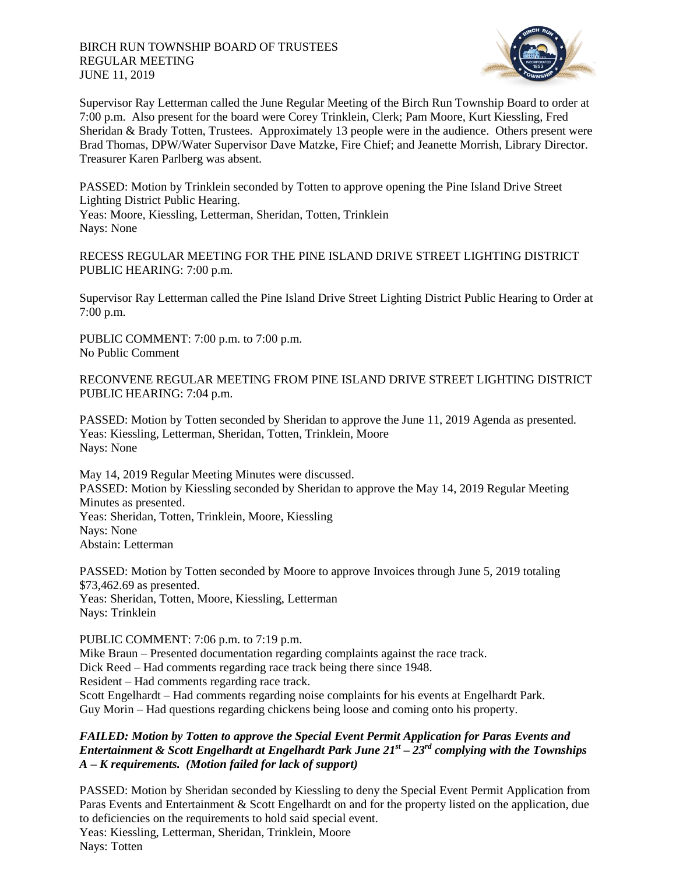

Supervisor Ray Letterman called the June Regular Meeting of the Birch Run Township Board to order at 7:00 p.m. Also present for the board were Corey Trinklein, Clerk; Pam Moore, Kurt Kiessling, Fred Sheridan & Brady Totten, Trustees. Approximately 13 people were in the audience. Others present were Brad Thomas, DPW/Water Supervisor Dave Matzke, Fire Chief; and Jeanette Morrish, Library Director. Treasurer Karen Parlberg was absent.

PASSED: Motion by Trinklein seconded by Totten to approve opening the Pine Island Drive Street Lighting District Public Hearing. Yeas: Moore, Kiessling, Letterman, Sheridan, Totten, Trinklein Nays: None

RECESS REGULAR MEETING FOR THE PINE ISLAND DRIVE STREET LIGHTING DISTRICT PUBLIC HEARING: 7:00 p.m.

Supervisor Ray Letterman called the Pine Island Drive Street Lighting District Public Hearing to Order at 7:00 p.m.

PUBLIC COMMENT: 7:00 p.m. to 7:00 p.m. No Public Comment

RECONVENE REGULAR MEETING FROM PINE ISLAND DRIVE STREET LIGHTING DISTRICT PUBLIC HEARING: 7:04 p.m.

PASSED: Motion by Totten seconded by Sheridan to approve the June 11, 2019 Agenda as presented. Yeas: Kiessling, Letterman, Sheridan, Totten, Trinklein, Moore Nays: None

May 14, 2019 Regular Meeting Minutes were discussed. PASSED: Motion by Kiessling seconded by Sheridan to approve the May 14, 2019 Regular Meeting Minutes as presented. Yeas: Sheridan, Totten, Trinklein, Moore, Kiessling Nays: None Abstain: Letterman

PASSED: Motion by Totten seconded by Moore to approve Invoices through June 5, 2019 totaling \$73,462.69 as presented. Yeas: Sheridan, Totten, Moore, Kiessling, Letterman Nays: Trinklein

PUBLIC COMMENT: 7:06 p.m. to 7:19 p.m.

Mike Braun – Presented documentation regarding complaints against the race track.

Dick Reed – Had comments regarding race track being there since 1948.

Resident – Had comments regarding race track.

Scott Engelhardt – Had comments regarding noise complaints for his events at Engelhardt Park. Guy Morin – Had questions regarding chickens being loose and coming onto his property.

## *FAILED: Motion by Totten to approve the Special Event Permit Application for Paras Events and Entertainment & Scott Engelhardt at Engelhardt Park June 21st – 23rd complying with the Townships A – K requirements. (Motion failed for lack of support)*

PASSED: Motion by Sheridan seconded by Kiessling to deny the Special Event Permit Application from Paras Events and Entertainment & Scott Engelhardt on and for the property listed on the application, due to deficiencies on the requirements to hold said special event. Yeas: Kiessling, Letterman, Sheridan, Trinklein, Moore Nays: Totten